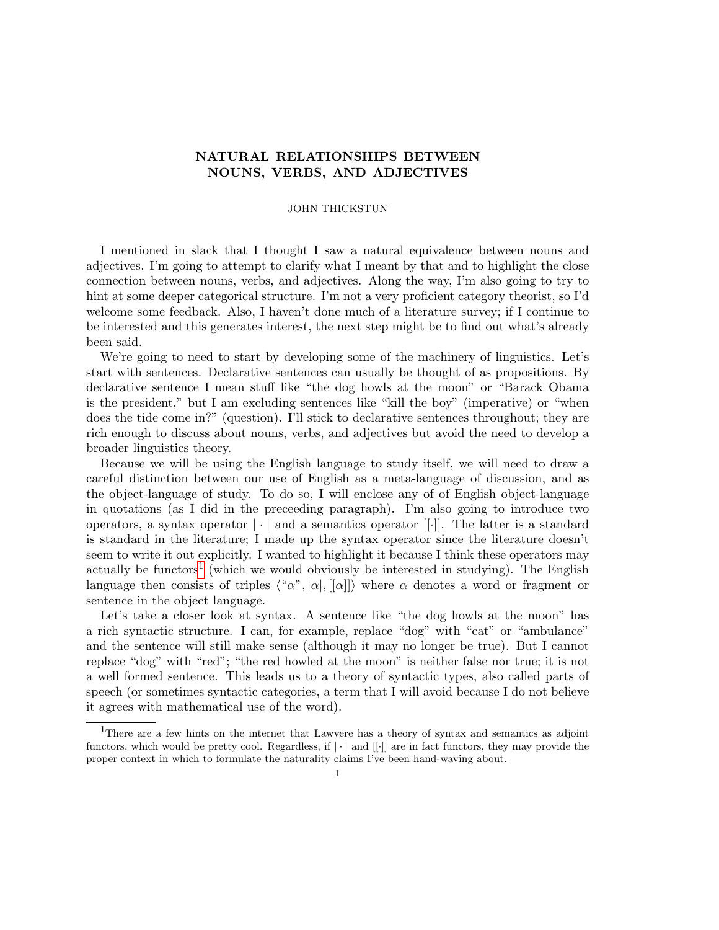## NATURAL RELATIONSHIPS BETWEEN NOUNS, VERBS, AND ADJECTIVES

## JOHN THICKSTUN

I mentioned in slack that I thought I saw a natural equivalence between nouns and adjectives. I'm going to attempt to clarify what I meant by that and to highlight the close connection between nouns, verbs, and adjectives. Along the way, I'm also going to try to hint at some deeper categorical structure. I'm not a very proficient category theorist, so I'd welcome some feedback. Also, I haven't done much of a literature survey; if I continue to be interested and this generates interest, the next step might be to find out what's already been said.

We're going to need to start by developing some of the machinery of linguistics. Let's start with sentences. Declarative sentences can usually be thought of as propositions. By declarative sentence I mean stuff like "the dog howls at the moon" or "Barack Obama is the president," but I am excluding sentences like "kill the boy" (imperative) or "when does the tide come in?" (question). I'll stick to declarative sentences throughout; they are rich enough to discuss about nouns, verbs, and adjectives but avoid the need to develop a broader linguistics theory.

Because we will be using the English language to study itself, we will need to draw a careful distinction between our use of English as a meta-language of discussion, and as the object-language of study. To do so, I will enclose any of of English object-language in quotations (as I did in the preceeding paragraph). I'm also going to introduce two operators, a syntax operator  $|\cdot|$  and a semantics operator  $[[\cdot]]$ . The latter is a standard is standard in the literature; I made up the syntax operator since the literature doesn't seem to write it out explicitly. I wanted to highlight it because I think these operators may actually be functors<sup>[1](#page-0-0)</sup> (which we would obviously be interested in studying). The English language then consists of triples  $\langle \alpha u, \alpha v \rangle, |\alpha|$ ,  $\langle \alpha v \rangle$  where  $\alpha$  denotes a word or fragment or sentence in the object language.

Let's take a closer look at syntax. A sentence like "the dog howls at the moon" has a rich syntactic structure. I can, for example, replace "dog" with "cat" or "ambulance" and the sentence will still make sense (although it may no longer be true). But I cannot replace "dog" with "red"; "the red howled at the moon" is neither false nor true; it is not a well formed sentence. This leads us to a theory of syntactic types, also called parts of speech (or sometimes syntactic categories, a term that I will avoid because I do not believe it agrees with mathematical use of the word).

<span id="page-0-0"></span><sup>&</sup>lt;sup>1</sup>There are a few hints on the internet that Lawvere has a theory of syntax and semantics as adjoint functors, which would be pretty cool. Regardless, if  $|\cdot|$  and  $||\cdot||$  are in fact functors, they may provide the proper context in which to formulate the naturality claims I've been hand-waving about.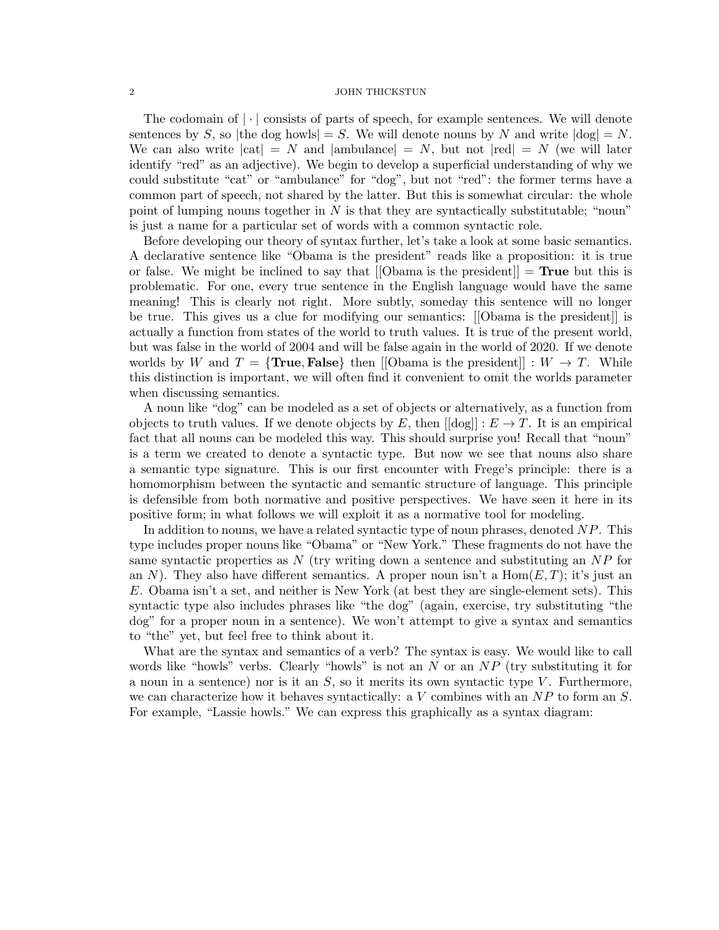## 2 JOHN THICKSTUN

The codomain of  $|\cdot|$  consists of parts of speech, for example sentences. We will denote sentences by S, so |the dog howls| = S. We will denote nouns by N and write  $|dog| = N$ . We can also write  $|cat| = N$  and  $|ambulance| = N$ , but not  $|red| = N$  (we will later identify "red" as an adjective). We begin to develop a superficial understanding of why we could substitute "cat" or "ambulance" for "dog", but not "red": the former terms have a common part of speech, not shared by the latter. But this is somewhat circular: the whole point of lumping nouns together in  $N$  is that they are syntactically substitutable; "noun" is just a name for a particular set of words with a common syntactic role.

Before developing our theory of syntax further, let's take a look at some basic semantics. A declarative sentence like "Obama is the president" reads like a proposition: it is true or false. We might be inclined to say that  $[|Ob]$  is the president  $] = True$  but this is problematic. For one, every true sentence in the English language would have the same meaning! This is clearly not right. More subtly, someday this sentence will no longer be true. This gives us a clue for modifying our semantics: [[Obama is the president]] is actually a function from states of the world to truth values. It is true of the present world, but was false in the world of 2004 and will be false again in the world of 2020. If we denote worlds by W and  $T = \{$ **True, False**} then  $[$  [Obama is the president] :  $W \rightarrow T$ . Whilethis distinction is important, we will often find it convenient to omit the worlds parameter when discussing semantics.

A noun like "dog" can be modeled as a set of objects or alternatively, as a function from objects to truth values. If we denote objects by E, then  $\left[\text{dog}\right] : E \to T$ . It is an empirical fact that all nouns can be modeled this way. This should surprise you! Recall that "noun" is a term we created to denote a syntactic type. But now we see that nouns also share a semantic type signature. This is our first encounter with Frege's principle: there is a homomorphism between the syntactic and semantic structure of language. This principle is defensible from both normative and positive perspectives. We have seen it here in its positive form; in what follows we will exploit it as a normative tool for modeling.

In addition to nouns, we have a related syntactic type of noun phrases, denoted  $NP$ . This type includes proper nouns like "Obama" or "New York." These fragments do not have the same syntactic properties as  $N$  (try writing down a sentence and substituting an  $NP$  for an N). They also have different semantics. A proper noun isn't a  $Hom(E, T)$ ; it's just an E. Obama isn't a set, and neither is New York (at best they are single-element sets). This syntactic type also includes phrases like "the dog" (again, exercise, try substituting "the dog" for a proper noun in a sentence). We won't attempt to give a syntax and semantics to "the" yet, but feel free to think about it.

What are the syntax and semantics of a verb? The syntax is easy. We would like to call words like "howls" verbs. Clearly "howls" is not an N or an  $NP$  (try substituting it for a noun in a sentence) nor is it an  $S$ , so it merits its own syntactic type V. Furthermore, we can characterize how it behaves syntactically: a  $V$  combines with an  $NP$  to form an  $S$ . For example, "Lassie howls." We can express this graphically as a syntax diagram: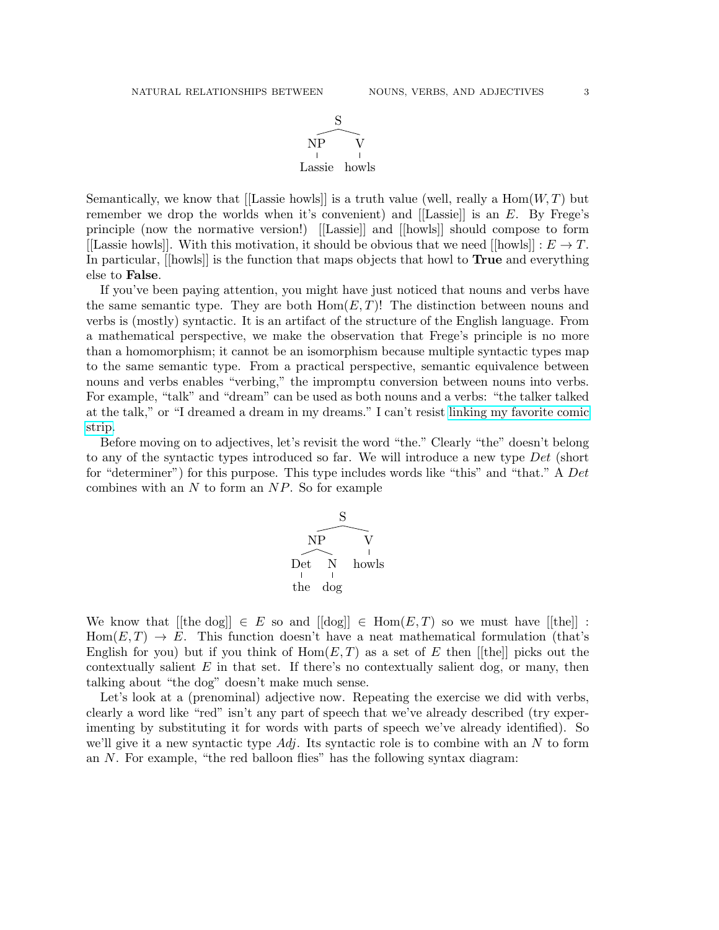

Semantically, we know that [[Lassie howls]] is a truth value (well, really a  $\text{Hom}(W, T)$  but remember we drop the worlds when it's convenient) and  $[[Lassie]]$  is an  $E$ . By Frege's principle (now the normative version!) [[Lassie]] and [[howls]] should compose to form [[Lassie howls]]. With this motivation, it should be obvious that we need [[howls]] :  $E \to T$ . In particular, [[howls]] is the function that maps objects that howl to True and everything else to False.

If you've been paying attention, you might have just noticed that nouns and verbs have the same semantic type. They are both  $Hom(E, T)!$  The distinction between nouns and verbs is (mostly) syntactic. It is an artifact of the structure of the English language. From a mathematical perspective, we make the observation that Frege's principle is no more than a homomorphism; it cannot be an isomorphism because multiple syntactic types map to the same semantic type. From a practical perspective, semantic equivalence between nouns and verbs enables "verbing," the impromptu conversion between nouns into verbs. For example, "talk" and "dream" can be used as both nouns and a verbs: "the talker talked at the talk," or "I dreamed a dream in my dreams." I can't resist [linking my favorite comic](http://www.gocomics.com/calvinandhobbes/1993/01/25) [strip.](http://www.gocomics.com/calvinandhobbes/1993/01/25)

Before moving on to adjectives, let's revisit the word "the." Clearly "the" doesn't belong to any of the syntactic types introduced so far. We will introduce a new type Det (short for "determiner") for this purpose. This type includes words like "this" and "that." A Det combines with an  $N$  to form an  $NP$ . So for example



We know that  $[[the dog]] \in E$  so and  $[[dog]] \in Hom(E, T)$  so we must have  $[[the]]$ :  $Hom(E, T) \to E$ . This function doesn't have a neat mathematical formulation (that's English for you) but if you think of  $Hom(E, T)$  as a set of E then [[the]] picks out the contextually salient  $E$  in that set. If there's no contextually salient dog, or many, then talking about "the dog" doesn't make much sense.

Let's look at a (prenominal) adjective now. Repeating the exercise we did with verbs, clearly a word like "red" isn't any part of speech that we've already described (try experimenting by substituting it for words with parts of speech we've already identified). So we'll give it a new syntactic type  $Adj$ . Its syntactic role is to combine with an N to form an N. For example, "the red balloon flies" has the following syntax diagram: